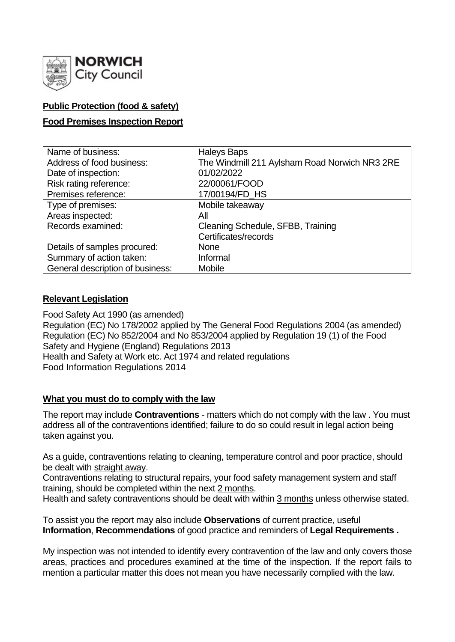

# **Public Protection (food & safety)**

# **Food Premises Inspection Report**

| Name of business:                | <b>Haleys Baps</b>                            |
|----------------------------------|-----------------------------------------------|
| Address of food business:        | The Windmill 211 Aylsham Road Norwich NR3 2RE |
| Date of inspection:              | 01/02/2022                                    |
| Risk rating reference:           | 22/00061/FOOD                                 |
| Premises reference:              | 17/00194/FD_HS                                |
| Type of premises:                | Mobile takeaway                               |
| Areas inspected:                 | All                                           |
| Records examined:                | Cleaning Schedule, SFBB, Training             |
|                                  | Certificates/records                          |
| Details of samples procured:     | <b>None</b>                                   |
| Summary of action taken:         | Informal                                      |
| General description of business: | <b>Mobile</b>                                 |

### **Relevant Legislation**

Food Safety Act 1990 (as amended) Regulation (EC) No 178/2002 applied by The General Food Regulations 2004 (as amended) Regulation (EC) No 852/2004 and No 853/2004 applied by Regulation 19 (1) of the Food Safety and Hygiene (England) Regulations 2013 Health and Safety at Work etc. Act 1974 and related regulations Food Information Regulations 2014

# **What you must do to comply with the law**

The report may include **Contraventions** - matters which do not comply with the law . You must address all of the contraventions identified; failure to do so could result in legal action being taken against you.

As a guide, contraventions relating to cleaning, temperature control and poor practice, should be dealt with straight away.

Contraventions relating to structural repairs, your food safety management system and staff training, should be completed within the next 2 months.

Health and safety contraventions should be dealt with within 3 months unless otherwise stated.

To assist you the report may also include **Observations** of current practice, useful **Information**, **Recommendations** of good practice and reminders of **Legal Requirements .**

My inspection was not intended to identify every contravention of the law and only covers those areas, practices and procedures examined at the time of the inspection. If the report fails to mention a particular matter this does not mean you have necessarily complied with the law.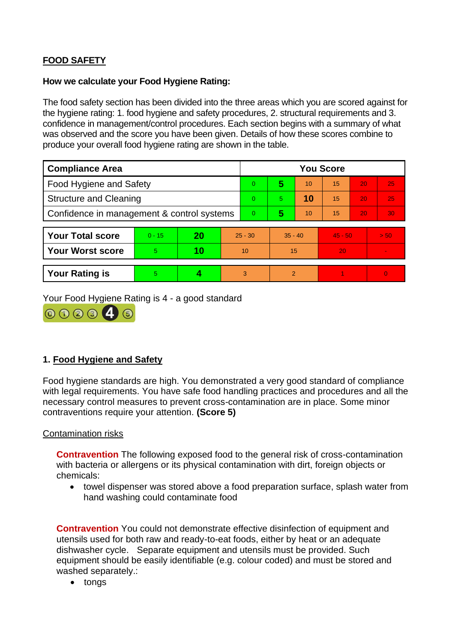# **FOOD SAFETY**

#### **How we calculate your Food Hygiene Rating:**

The food safety section has been divided into the three areas which you are scored against for the hygiene rating: 1. food hygiene and safety procedures, 2. structural requirements and 3. confidence in management/control procedures. Each section begins with a summary of what was observed and the score you have been given. Details of how these scores combine to produce your overall food hygiene rating are shown in the table.

| <b>Compliance Area</b>                     |          |    |           | <b>You Score</b> |               |    |           |    |                |  |
|--------------------------------------------|----------|----|-----------|------------------|---------------|----|-----------|----|----------------|--|
| Food Hygiene and Safety                    |          |    |           | $\overline{0}$   | 5             | 10 | 15        | 20 | 25             |  |
| <b>Structure and Cleaning</b>              |          |    | $\Omega$  | 5.               | 10            | 15 | 20        | 25 |                |  |
| Confidence in management & control systems |          |    |           | $\overline{0}$   | 5             | 10 | 15        | 20 | 30             |  |
|                                            |          |    |           |                  |               |    |           |    |                |  |
| <b>Your Total score</b>                    | $0 - 15$ | 20 | $25 - 30$ |                  | $35 - 40$     |    | $45 - 50$ |    | > 50           |  |
| <b>Your Worst score</b>                    | 5        | 10 | 10        |                  | 15            |    | 20        |    | $\sim$         |  |
|                                            |          |    |           |                  |               |    |           |    |                |  |
| <b>Your Rating is</b>                      | 5        |    |           | 3                | $\mathcal{P}$ |    |           |    | $\overline{0}$ |  |

Your Food Hygiene Rating is 4 - a good standard



# **1. Food Hygiene and Safety**

Food hygiene standards are high. You demonstrated a very good standard of compliance with legal requirements. You have safe food handling practices and procedures and all the necessary control measures to prevent cross-contamination are in place. Some minor contraventions require your attention. **(Score 5)**

#### Contamination risks

**Contravention** The following exposed food to the general risk of cross-contamination with bacteria or allergens or its physical contamination with dirt, foreign objects or chemicals:

• towel dispenser was stored above a food preparation surface, splash water from hand washing could contaminate food

**Contravention** You could not demonstrate effective disinfection of equipment and utensils used for both raw and ready-to-eat foods, either by heat or an adequate dishwasher cycle. Separate equipment and utensils must be provided. Such equipment should be easily identifiable (e.g. colour coded) and must be stored and washed separately.:

• tongs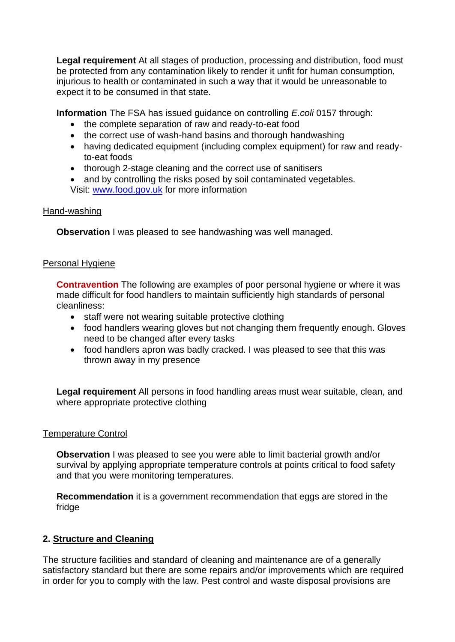**Legal requirement** At all stages of production, processing and distribution, food must be protected from any contamination likely to render it unfit for human consumption, injurious to health or contaminated in such a way that it would be unreasonable to expect it to be consumed in that state.

**Information** The FSA has issued guidance on controlling *E.coli* 0157 through:

- the complete separation of raw and ready-to-eat food
- the correct use of wash-hand basins and thorough handwashing
- having dedicated equipment (including complex equipment) for raw and readyto-eat foods
- thorough 2-stage cleaning and the correct use of sanitisers
- Visit: [www.food.gov.uk](http://www.food.gov.uk/) for more information • and by controlling the risks posed by soil contaminated vegetables.

### Hand-washing

**Observation I** was pleased to see handwashing was well managed.

# Personal Hygiene

**Contravention** The following are examples of poor personal hygiene or where it was made difficult for food handlers to maintain sufficiently high standards of personal cleanliness:

- staff were not wearing suitable protective clothing
- food handlers wearing gloves but not changing them frequently enough. Gloves need to be changed after every tasks
- food handlers apron was badly cracked. I was pleased to see that this was thrown away in my presence

**Legal requirement** All persons in food handling areas must wear suitable, clean, and where appropriate protective clothing

#### Temperature Control

**Observation** I was pleased to see you were able to limit bacterial growth and/or survival by applying appropriate temperature controls at points critical to food safety and that you were monitoring temperatures.

**Recommendation** it is a government recommendation that eggs are stored in the fridge

# **2. Structure and Cleaning**

The structure facilities and standard of cleaning and maintenance are of a generally satisfactory standard but there are some repairs and/or improvements which are required in order for you to comply with the law. Pest control and waste disposal provisions are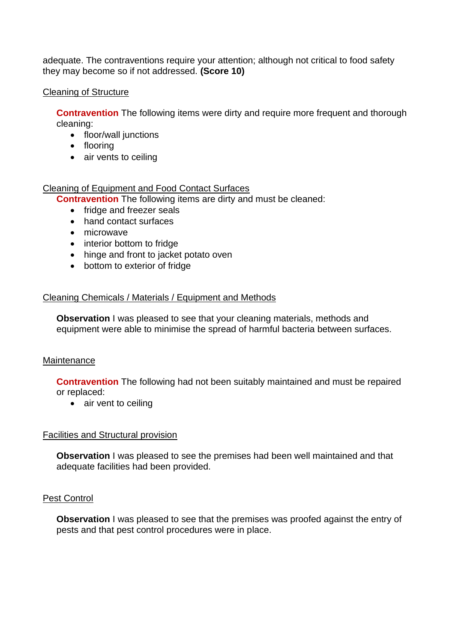adequate. The contraventions require your attention; although not critical to food safety they may become so if not addressed. **(Score 10)**

### Cleaning of Structure

**Contravention** The following items were dirty and require more frequent and thorough cleaning:

- floor/wall junctions
- flooring
- air vents to ceiling

# Cleaning of Equipment and Food Contact Surfaces

**Contravention** The following items are dirty and must be cleaned:

- fridge and freezer seals
- hand contact surfaces
- microwave
- interior bottom to fridge
- hinge and front to jacket potato oven
- bottom to exterior of fridge

# Cleaning Chemicals / Materials / Equipment and Methods

**Observation** I was pleased to see that your cleaning materials, methods and equipment were able to minimise the spread of harmful bacteria between surfaces.

# **Maintenance**

**Contravention** The following had not been suitably maintained and must be repaired or replaced:

• air vent to ceiling

# Facilities and Structural provision

**Observation** I was pleased to see the premises had been well maintained and that adequate facilities had been provided.

# Pest Control

**Observation** I was pleased to see that the premises was proofed against the entry of pests and that pest control procedures were in place.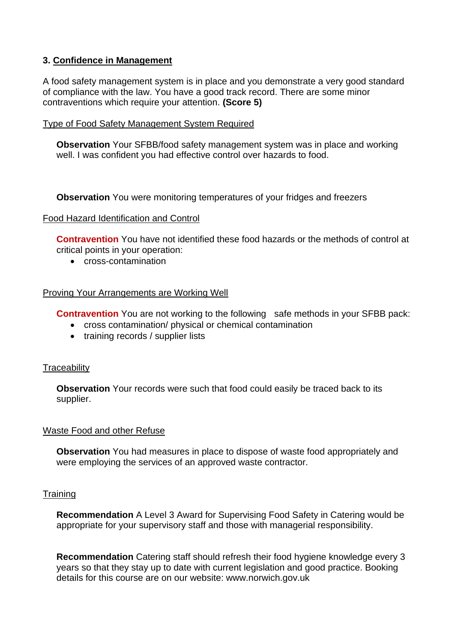### **3. Confidence in Management**

A food safety management system is in place and you demonstrate a very good standard of compliance with the law. You have a good track record. There are some minor contraventions which require your attention. **(Score 5)**

#### Type of Food Safety Management System Required

**Observation** Your SFBB/food safety management system was in place and working well. I was confident you had effective control over hazards to food.

**Observation** You were monitoring temperatures of your fridges and freezers

#### Food Hazard Identification and Control

**Contravention** You have not identified these food hazards or the methods of control at critical points in your operation:

• cross-contamination

#### Proving Your Arrangements are Working Well

**Contravention** You are not working to the following safe methods in your SFBB pack:

- cross contamination/ physical or chemical contamination
- training records / supplier lists

#### **Traceability**

**Observation** Your records were such that food could easily be traced back to its supplier.

#### Waste Food and other Refuse

**Observation** You had measures in place to dispose of waste food appropriately and were employing the services of an approved waste contractor.

#### **Training**

**Recommendation** A Level 3 Award for Supervising Food Safety in Catering would be appropriate for your supervisory staff and those with managerial responsibility.

**Recommendation** Catering staff should refresh their food hygiene knowledge every 3 years so that they stay up to date with current legislation and good practice. Booking details for this course are on our website: www.norwich.gov.uk